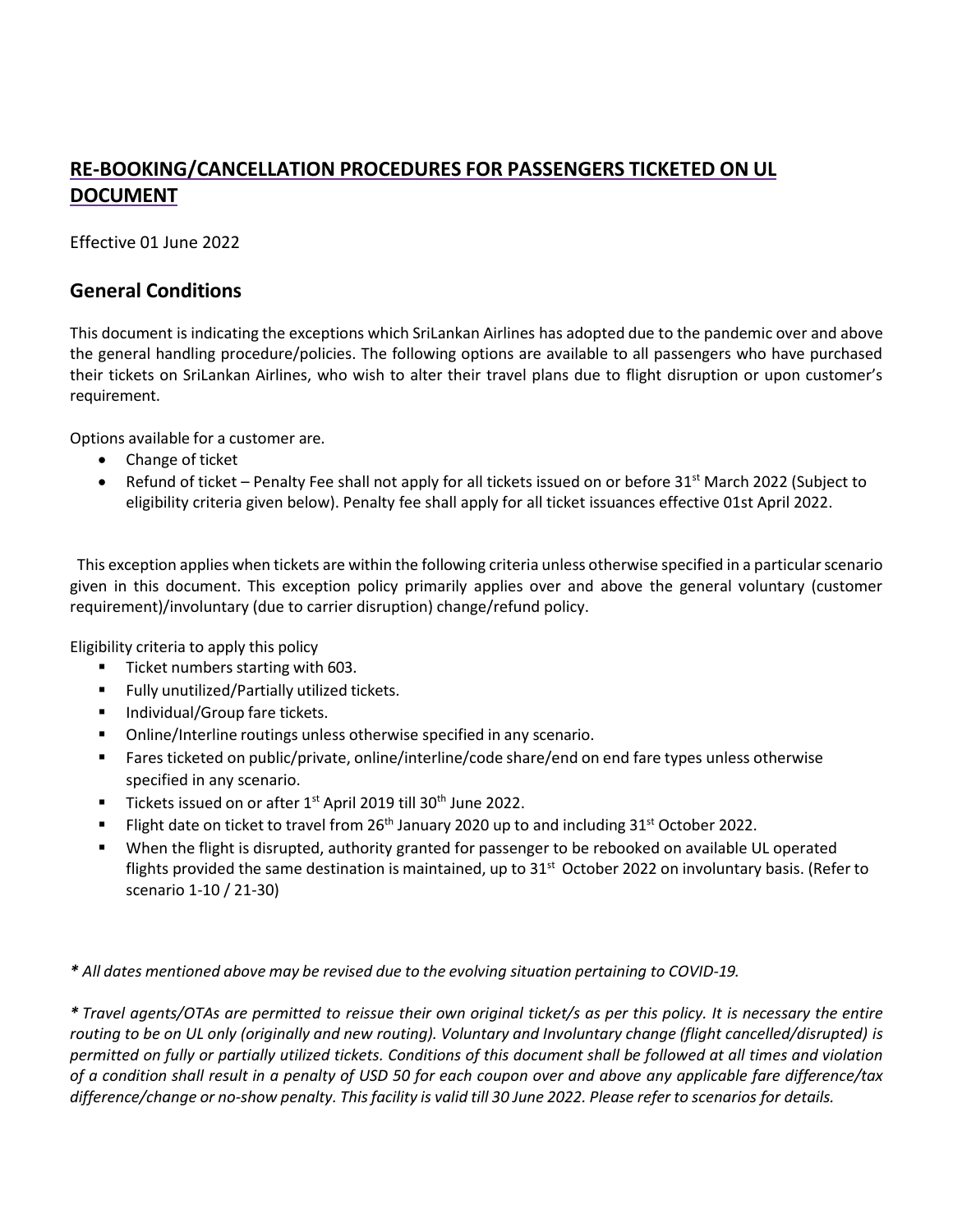# **RE-BOOKING/CANCELLATION PROCEDURES FOR PASSENGERS TICKETED ON UL DOCUMENT**

Effective 01 June 2022

### **General Conditions**

This document is indicating the exceptions which SriLankan Airlines has adopted due to the pandemic over and above the general handling procedure/policies. The following options are available to all passengers who have purchased their tickets on SriLankan Airlines, who wish to alter their travel plans due to flight disruption or upon customer's requirement.

Options available for a customer are.

- Change of ticket
- Refund of ticket Penalty Fee shall not apply for all tickets issued on or before 31<sup>st</sup> March 2022 (Subject to eligibility criteria given below). Penalty fee shall apply for all ticket issuances effective 01st April 2022.

This exception applies when tickets are within the following criteria unless otherwise specified in a particular scenario given in this document. This exception policy primarily applies over and above the general voluntary (customer requirement)/involuntary (due to carrier disruption) change/refund policy.

Eligibility criteria to apply this policy

- Ticket numbers starting with 603.
- Fully unutilized/Partially utilized tickets.
- Individual/Group fare tickets.
- Online/Interline routings unless otherwise specified in any scenario.
- Fares ticketed on public/private, online/interline/code share/end on end fare types unless otherwise specified in any scenario.
- Tickets issued on or after 1<sup>st</sup> April 2019 till 30<sup>th</sup> June 2022.
- Flight date on ticket to travel from 26<sup>th</sup> January 2020 up to and including 31<sup>st</sup> October 2022.
- When the flight is disrupted, authority granted for passenger to be rebooked on available UL operated flights provided the same destination is maintained, up to 31<sup>st</sup> October 2022 on involuntary basis. (Refer to scenario 1-10 / 21-30)

*\* All dates mentioned above may be revised due to the evolving situation pertaining to COVID-19.*

\* Travel agents/OTAs are permitted to reissue their own original ticket/s as per this policy. It is necessary the entire routing to be on UL only (originally and new routing). Voluntary and Involuntary change (flight cancelled/disrupted) is *permitted on fully or partially utilized tickets. Conditions of this document shall be followed at all times and violation of a condition shall result in a penalty of USD 50 for each coupon over and above any applicable fare difference/tax difference/change or no-show penalty. Thisfacility is valid till 30 June 2022. Please refer to scenarios for details.*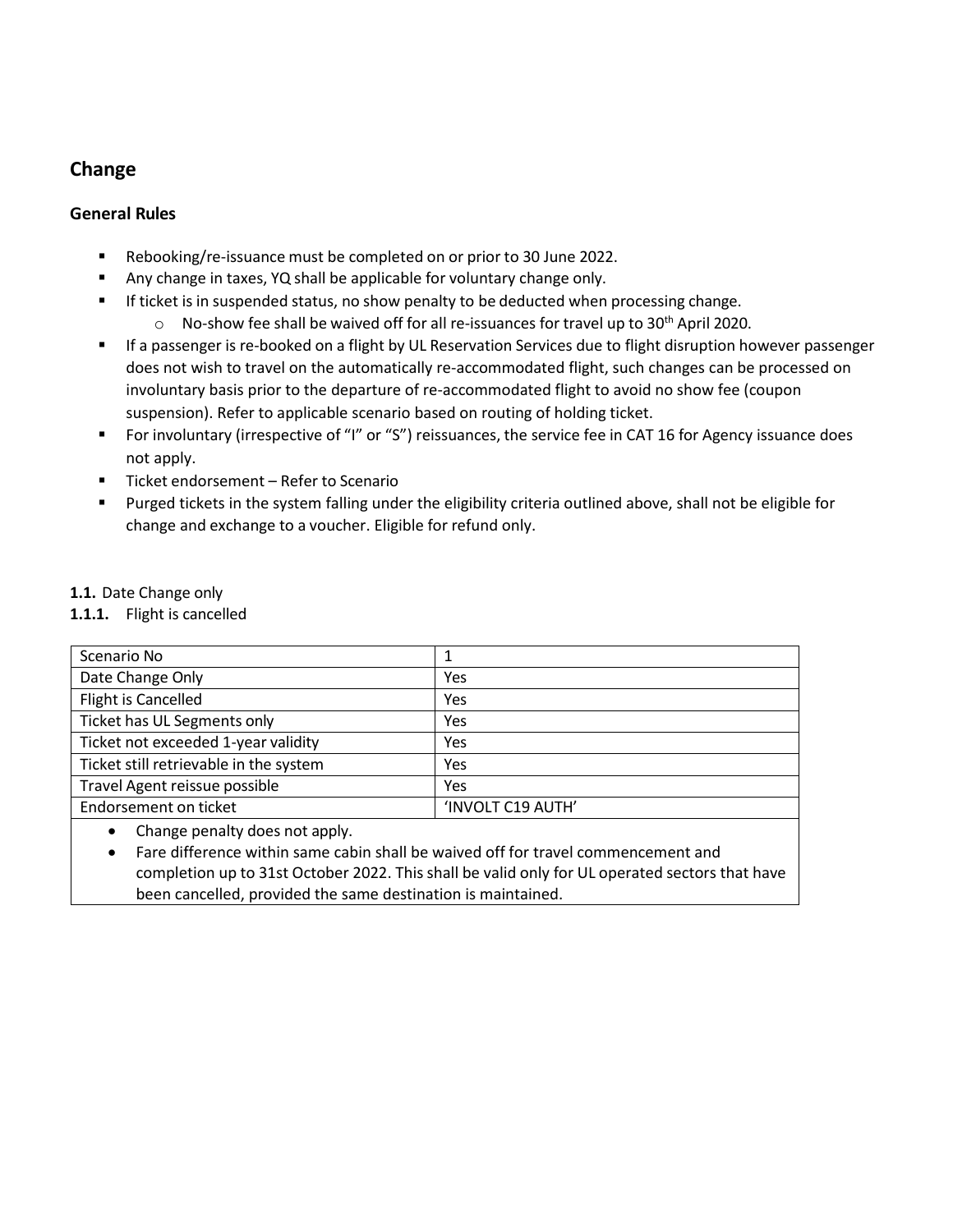## **Change**

### **General Rules**

- Rebooking/re-issuance must be completed on or prior to 30 June 2022.
- Any change in taxes, YQ shall be applicable for voluntary change only.
- **■** If ticket is in suspended status, no show penalty to be deducted when processing change.
	- $\circ$  No-show fee shall be waived off for all re-issuances for travel up to 30<sup>th</sup> April 2020.
- If a passenger is re-booked on a flight by UL Reservation Services due to flight disruption however passenger does not wish to travel on the automatically re-accommodated flight, such changes can be processed on involuntary basis prior to the departure of re-accommodated flight to avoid no show fee (coupon suspension). Refer to applicable scenario based on routing of holding ticket.
- For involuntary (irrespective of "I" or "S") reissuances, the service fee in CAT 16 for Agency issuance does not apply.
- Ticket endorsement Refer to Scenario
- Purged tickets in the system falling under the eligibility criteria outlined above, shall not be eligible for change and exchange to a voucher. Eligible for refund only.

### **1.1.** Date Change only

#### **1.1.1.** Flight is cancelled

| Scenario No                            |                   |
|----------------------------------------|-------------------|
| Date Change Only                       | Yes               |
| Flight is Cancelled                    | Yes               |
| Ticket has UL Segments only            | Yes               |
| Ticket not exceeded 1-year validity    | Yes               |
| Ticket still retrievable in the system | Yes               |
| Travel Agent reissue possible          | Yes               |
| Endorsement on ticket                  | 'INVOLT C19 AUTH' |
| change negative does not apply         |                   |

• Change penalty does not apply.

• Fare difference within same cabin shall be waived off for travel commencement and completion up to 31st October 2022. This shall be valid only for UL operated sectors that have been cancelled, provided the same destination is maintained.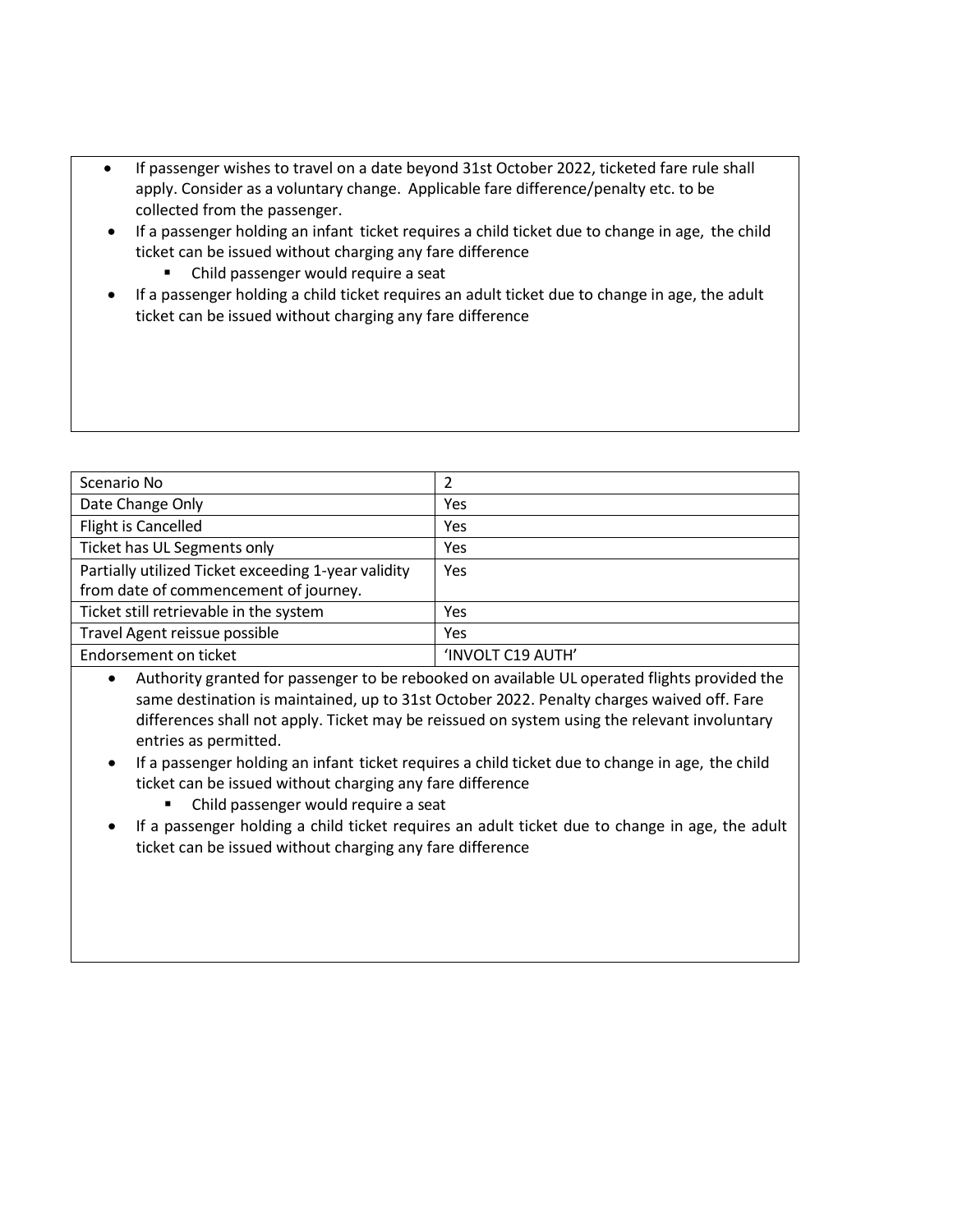- If passenger wishes to travel on a date beyond 31st October 2022, ticketed fare rule shall apply. Consider as a voluntary change. Applicable fare difference/penalty etc. to be collected from the passenger.
- If a passenger holding an infant ticket requires a child ticket due to change in age, the child ticket can be issued without charging any fare difference
	- Child passenger would require a seat
- If a passenger holding a child ticket requires an adult ticket due to change in age, the adult ticket can be issued without charging any fare difference

| Scenario No                                         |                   |
|-----------------------------------------------------|-------------------|
| Date Change Only                                    | Yes               |
| Flight is Cancelled                                 | Yes               |
| Ticket has UL Segments only                         | Yes               |
| Partially utilized Ticket exceeding 1-year validity | Yes               |
| from date of commencement of journey.               |                   |
| Ticket still retrievable in the system              | Yes               |
| Travel Agent reissue possible                       | Yes               |
| Endorsement on ticket                               | 'INVOLT C19 AUTH' |

- Authority granted for passenger to be rebooked on available UL operated flights provided the same destination is maintained, up to 31st October 2022. Penalty charges waived off. Fare differences shall not apply. Ticket may be reissued on system using the relevant involuntary entries as permitted.
- If a passenger holding an infant ticket requires a child ticket due to change in age, the child ticket can be issued without charging any fare difference
	- Child passenger would require a seat
- If a passenger holding a child ticket requires an adult ticket due to change in age, the adult ticket can be issued without charging any fare difference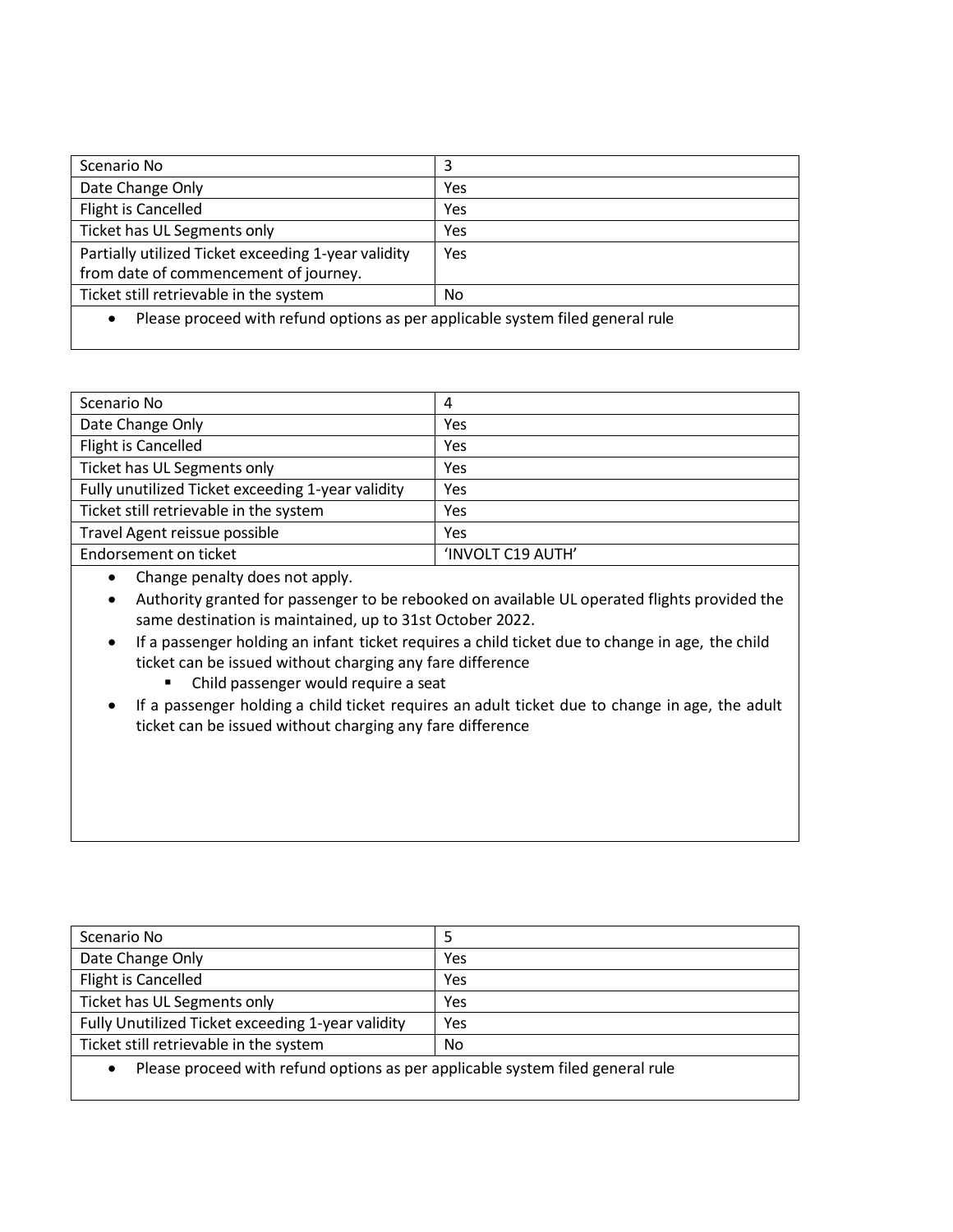| Scenario No                                                                                 | 3   |
|---------------------------------------------------------------------------------------------|-----|
| Date Change Only                                                                            | Yes |
| Flight is Cancelled                                                                         | Yes |
| Ticket has UL Segments only                                                                 | Yes |
| Partially utilized Ticket exceeding 1-year validity                                         | Yes |
| from date of commencement of journey.                                                       |     |
| Ticket still retrievable in the system                                                      | No. |
| Please proceed with refund options as per applicable system filed general rule<br>$\bullet$ |     |

| 4                 |
|-------------------|
| Yes               |
| Yes               |
| Yes               |
| Yes               |
| Yes               |
| Yes               |
| 'INVOLT C19 AUTH' |
|                   |

• Change penalty does not apply.

• Authority granted for passenger to be rebooked on available UL operated flights provided the same destination is maintained, up to 31st October 2022.

- If a passenger holding an infant ticket requires a child ticket due to change in age, the child ticket can be issued without charging any fare difference
	- Child passenger would require a seat
- If a passenger holding a child ticket requires an adult ticket due to change in age, the adult ticket can be issued without charging any fare difference

| Scenario No                                                                                 |     |
|---------------------------------------------------------------------------------------------|-----|
| Date Change Only                                                                            | Yes |
| Flight is Cancelled                                                                         | Yes |
| Ticket has UL Segments only                                                                 | Yes |
| Fully Unutilized Ticket exceeding 1-year validity                                           | Yes |
| Ticket still retrievable in the system                                                      | No  |
| Please proceed with refund options as per applicable system filed general rule<br>$\bullet$ |     |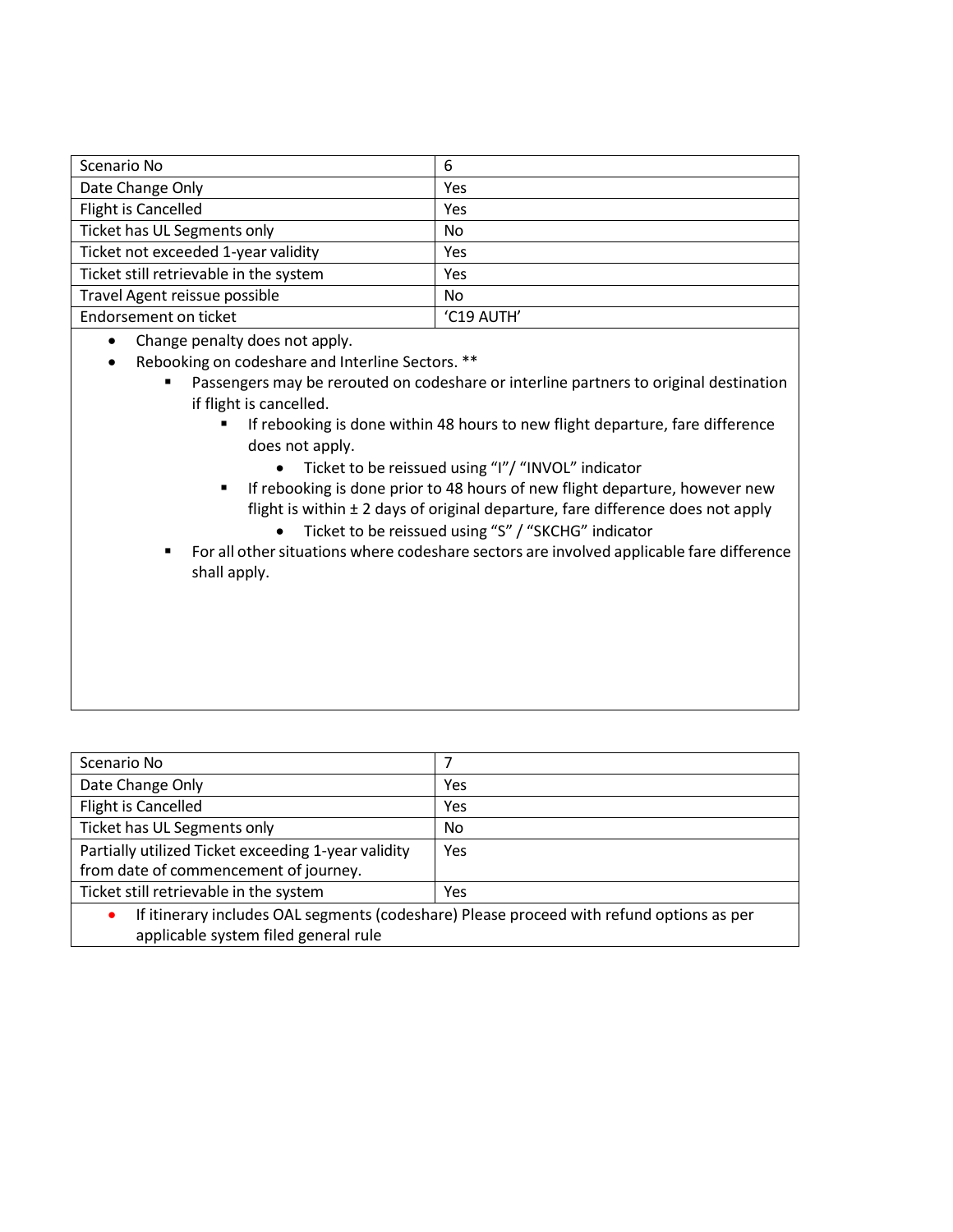| Scenario No                            | 6          |
|----------------------------------------|------------|
| Date Change Only                       | Yes        |
| Flight is Cancelled                    | Yes        |
| Ticket has UL Segments only            | No         |
| Ticket not exceeded 1-year validity    | Yes        |
| Ticket still retrievable in the system | Yes        |
| Travel Agent reissue possible          | No         |
| Endorsement on ticket                  | 'C19 AUTH' |

• Change penalty does not apply.

- Rebooking on codeshare and Interline Sectors. \*\*
	- Passengers may be rerouted on codeshare or interline partners to original destination if flight is cancelled.
		- If rebooking is done within 48 hours to new flight departure, fare difference does not apply.
			- Ticket to be reissued using "I"/ "INVOL" indicator
		- **EXECT** If rebooking is done prior to 48 hours of new flight departure, however new flight is within ± 2 days of original departure, fare difference does not apply
			- Ticket to be reissued using "S" / "SKCHG" indicator
	- For all other situations where codeshare sectors are involved applicable fare difference shall apply.

| Scenario No                                                                              |                |
|------------------------------------------------------------------------------------------|----------------|
| Date Change Only                                                                         | Yes            |
| Flight is Cancelled                                                                      | Yes            |
| Ticket has UL Segments only                                                              | N <sub>o</sub> |
| Partially utilized Ticket exceeding 1-year validity                                      | Yes            |
| from date of commencement of journey.                                                    |                |
| Ticket still retrievable in the system                                                   | Yes            |
| If itinerary includes OAL segments (codeshare) Please proceed with refund options as per |                |

applicable system filed general rule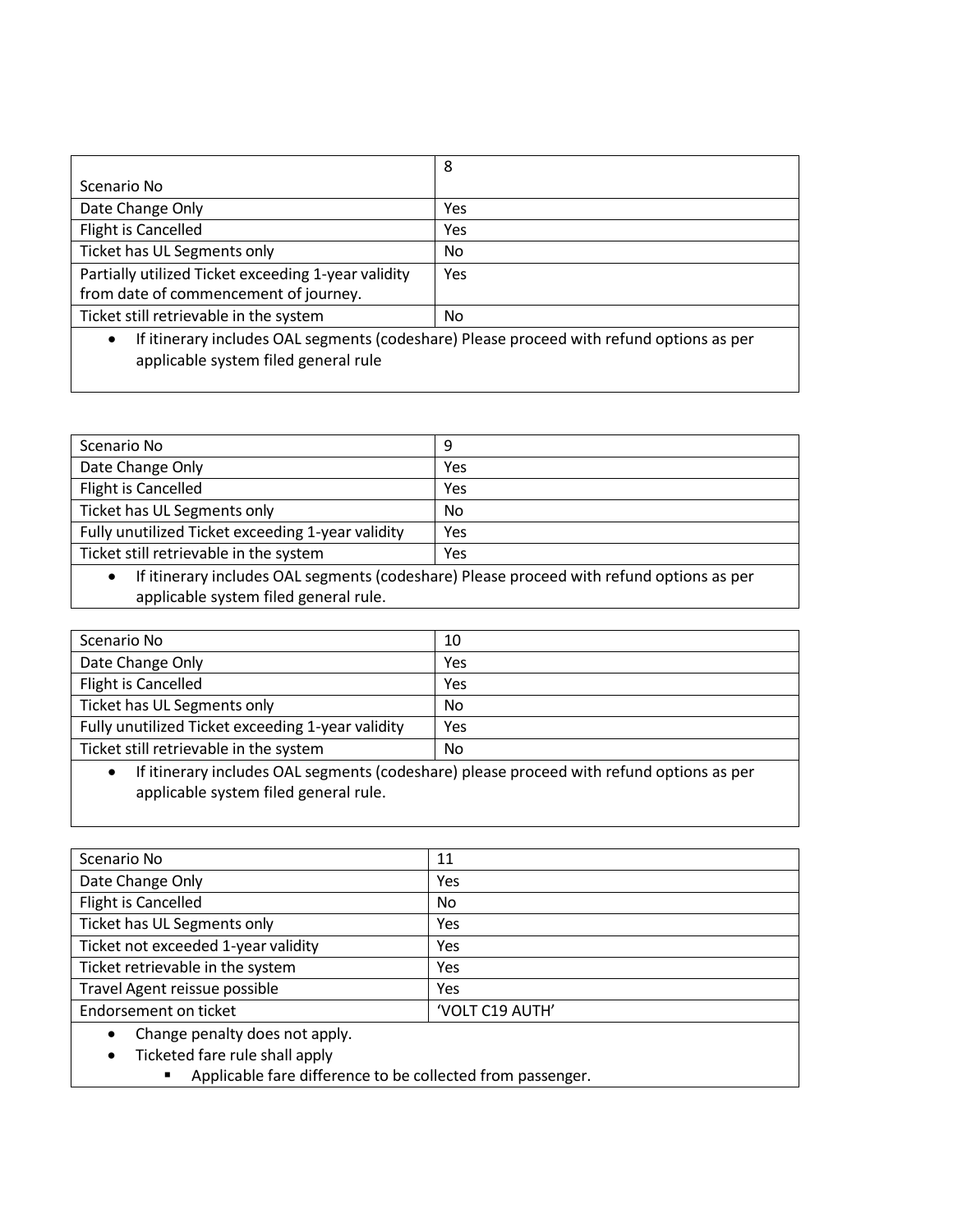|                                                                                                       | 8   |
|-------------------------------------------------------------------------------------------------------|-----|
| Scenario No                                                                                           |     |
| Date Change Only                                                                                      | Yes |
| Flight is Cancelled                                                                                   | Yes |
| Ticket has UL Segments only                                                                           | No  |
| Partially utilized Ticket exceeding 1-year validity                                                   | Yes |
| from date of commencement of journey.                                                                 |     |
| Ticket still retrievable in the system                                                                | No. |
| If itinerary includes OAL segments (codeshare) Please proceed with refund options as per<br>$\bullet$ |     |
| applicable system filed general rule                                                                  |     |

| Scenario No                                                                              | 9   |
|------------------------------------------------------------------------------------------|-----|
| Date Change Only                                                                         | Yes |
| Flight is Cancelled                                                                      | Yes |
| Ticket has UL Segments only                                                              | No  |
| Fully unutilized Ticket exceeding 1-year validity                                        | Yes |
| Ticket still retrievable in the system                                                   | Yes |
| If itinerary includes OAL segments (codeshare) Please proceed with refund options as per |     |

applicable system filed general rule.

| Scenario No                                       | 10  |
|---------------------------------------------------|-----|
| Date Change Only                                  | Yes |
| Flight is Cancelled                               | Yes |
| Ticket has UL Segments only                       | No  |
| Fully unutilized Ticket exceeding 1-year validity | Yes |
| Ticket still retrievable in the system            | No  |

• If itinerary includes OAL segments (codeshare) please proceed with refund options as per applicable system filed general rule.

| Scenario No                         | 11              |
|-------------------------------------|-----------------|
| Date Change Only                    | Yes             |
| Flight is Cancelled                 | No.             |
| Ticket has UL Segments only         | Yes             |
| Ticket not exceeded 1-year validity | Yes             |
| Ticket retrievable in the system    | Yes             |
| Travel Agent reissue possible       | Yes             |
| Endorsement on ticket               | 'VOLT C19 AUTH' |
| Change penalty does not apply.      |                 |
| Ticketed fare rule shall apply      |                 |
|                                     | .               |

■ Applicable fare difference to be collected from passenger.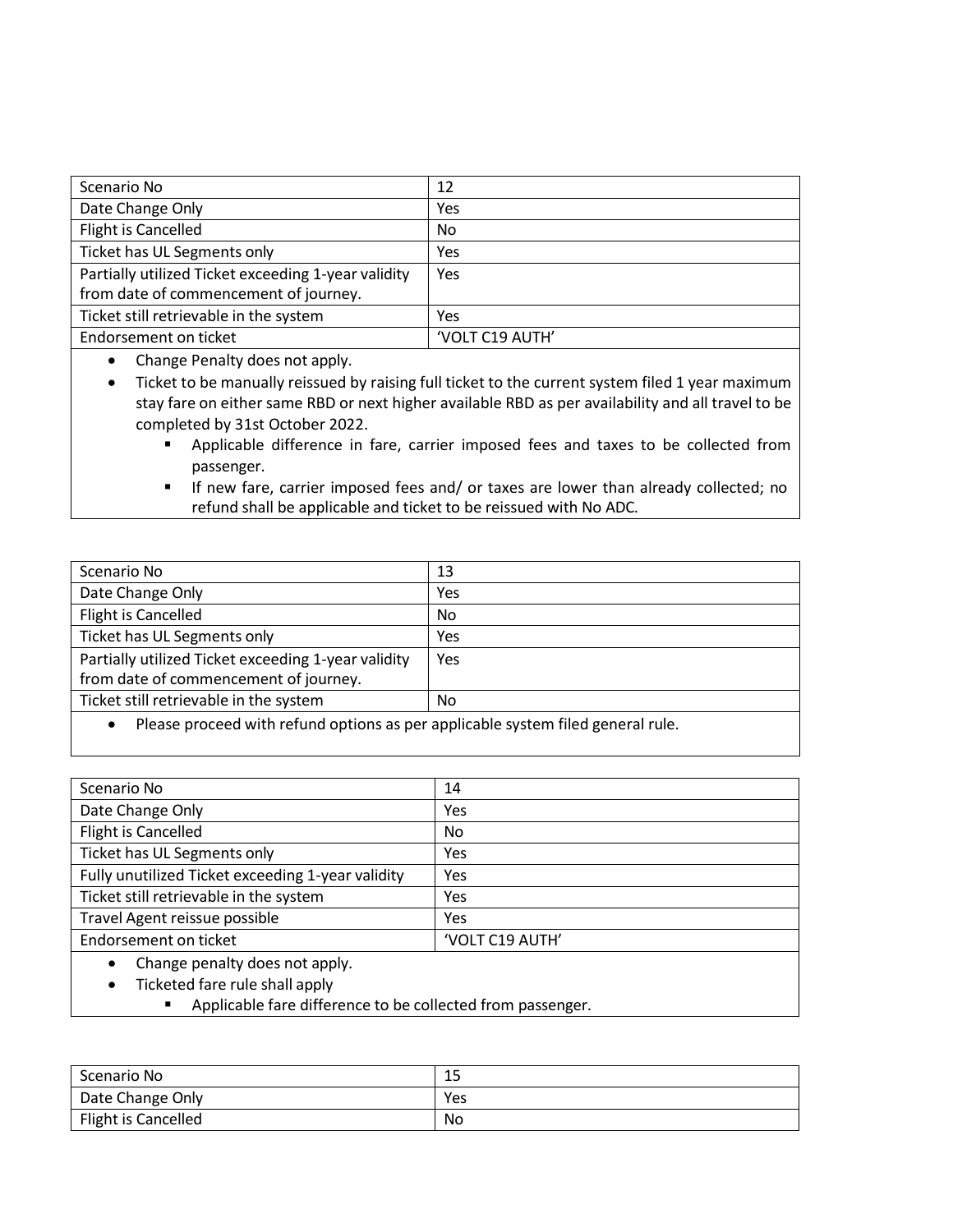| Scenario No                                         | 12              |
|-----------------------------------------------------|-----------------|
| Date Change Only                                    | Yes             |
| Flight is Cancelled                                 | No              |
| Ticket has UL Segments only                         | Yes             |
| Partially utilized Ticket exceeding 1-year validity | Yes             |
| from date of commencement of journey.               |                 |
| Ticket still retrievable in the system              | Yes             |
| Endorsement on ticket                               | 'VOLT C19 AUTH' |

• Change Penalty does not apply.

• Ticket to be manually reissued by raising full ticket to the current system filed 1 year maximum stay fare on either same RBD or next higher available RBD as per availability and all travel to be completed by 31st October 2022.

- Applicable difference in fare, carrier imposed fees and taxes to be collected from passenger.
- **E** If new fare, carrier imposed fees and/ or taxes are lower than already collected; no refund shall be applicable and ticket to be reissued with No ADC.

| Scenario No                                                                                 | 13  |
|---------------------------------------------------------------------------------------------|-----|
| Date Change Only                                                                            | Yes |
| Flight is Cancelled                                                                         | No  |
| Ticket has UL Segments only                                                                 | Yes |
| Partially utilized Ticket exceeding 1-year validity                                         | Yes |
| from date of commencement of journey.                                                       |     |
| Ticket still retrievable in the system                                                      | No  |
| Please proceed with refund ontions as ner applicable system filed general rule<br>$\bullet$ |     |

d options as per applicable system filed general rule.

| Scenario No                                       | 14              |
|---------------------------------------------------|-----------------|
| Date Change Only                                  | Yes             |
| Flight is Cancelled                               | No              |
| Ticket has UL Segments only                       | Yes             |
| Fully unutilized Ticket exceeding 1-year validity | Yes             |
| Ticket still retrievable in the system            | Yes             |
| Travel Agent reissue possible                     | Yes             |
| Endorsement on ticket                             | 'VOLT C19 AUTH' |
| Change penalty does not apply.<br>$\bullet$       |                 |
| Ticketed fare rule shall apply                    |                 |

■ Applicable fare difference to be collected from passenger.

| Scenario No         | <b>1 F</b><br>ر د |
|---------------------|-------------------|
| Date Change Only    | Yes               |
| Flight is Cancelled | No.               |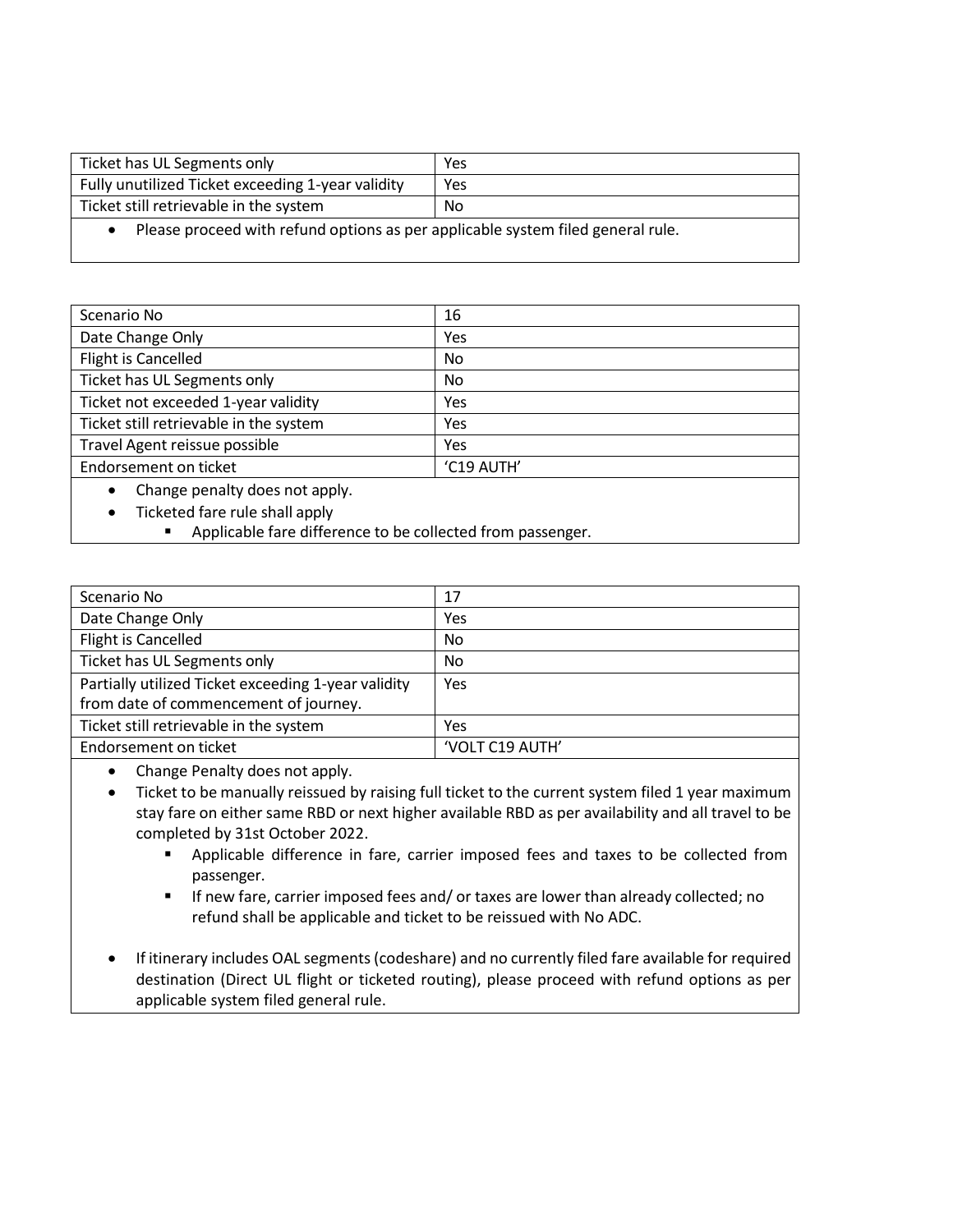| Ticket has UL Segments only                                                     | Yes |  |
|---------------------------------------------------------------------------------|-----|--|
| Fully unutilized Ticket exceeding 1-year validity                               | Yes |  |
| Ticket still retrievable in the system<br>No                                    |     |  |
| Please proceed with refund options as per applicable system filed general rule. |     |  |

Scenario No 16 Date Change Only The Contract of the UNESCONDING STATE STATES AND THE VESTIGATION OF THE UNION OF THE UNION OF THE UNION OF THE UNION OF THE UNION OF THE UNION OF THE UNION OF THE UNION OF THE UNION OF THE UNION OF THE UNI Flight is Cancelled No Ticket has UL Segments only No Ticket not exceeded 1-year validity Ticket not exceeded 1-year validity Ticket still retrievable in the system  $\vert$  Yes Travel Agent reissue possible Ves Endorsement on ticket  $\vert$  'C19 AUTH' • Change penalty does not apply.

• Ticketed fare rule shall apply

■ Applicable fare difference to be collected from passenger.

| Scenario No                                         | 17              |
|-----------------------------------------------------|-----------------|
| Date Change Only                                    | Yes             |
| Flight is Cancelled                                 | No              |
| Ticket has UL Segments only                         | No              |
| Partially utilized Ticket exceeding 1-year validity | Yes             |
| from date of commencement of journey.               |                 |
| Ticket still retrievable in the system              | Yes             |
| Endorsement on ticket                               | 'VOLT C19 AUTH' |

• Change Penalty does not apply.

• Ticket to be manually reissued by raising full ticket to the current system filed 1 year maximum stay fare on either same RBD or next higher available RBD as per availability and all travel to be completed by 31st October 2022.

- Applicable difference in fare, carrier imposed fees and taxes to be collected from passenger.
- **■** If new fare, carrier imposed fees and/ or taxes are lower than already collected; no refund shall be applicable and ticket to be reissued with No ADC.
- If itinerary includes OAL segments (codeshare) and no currently filed fare available for required destination (Direct UL flight or ticketed routing), please proceed with refund options as per applicable system filed general rule.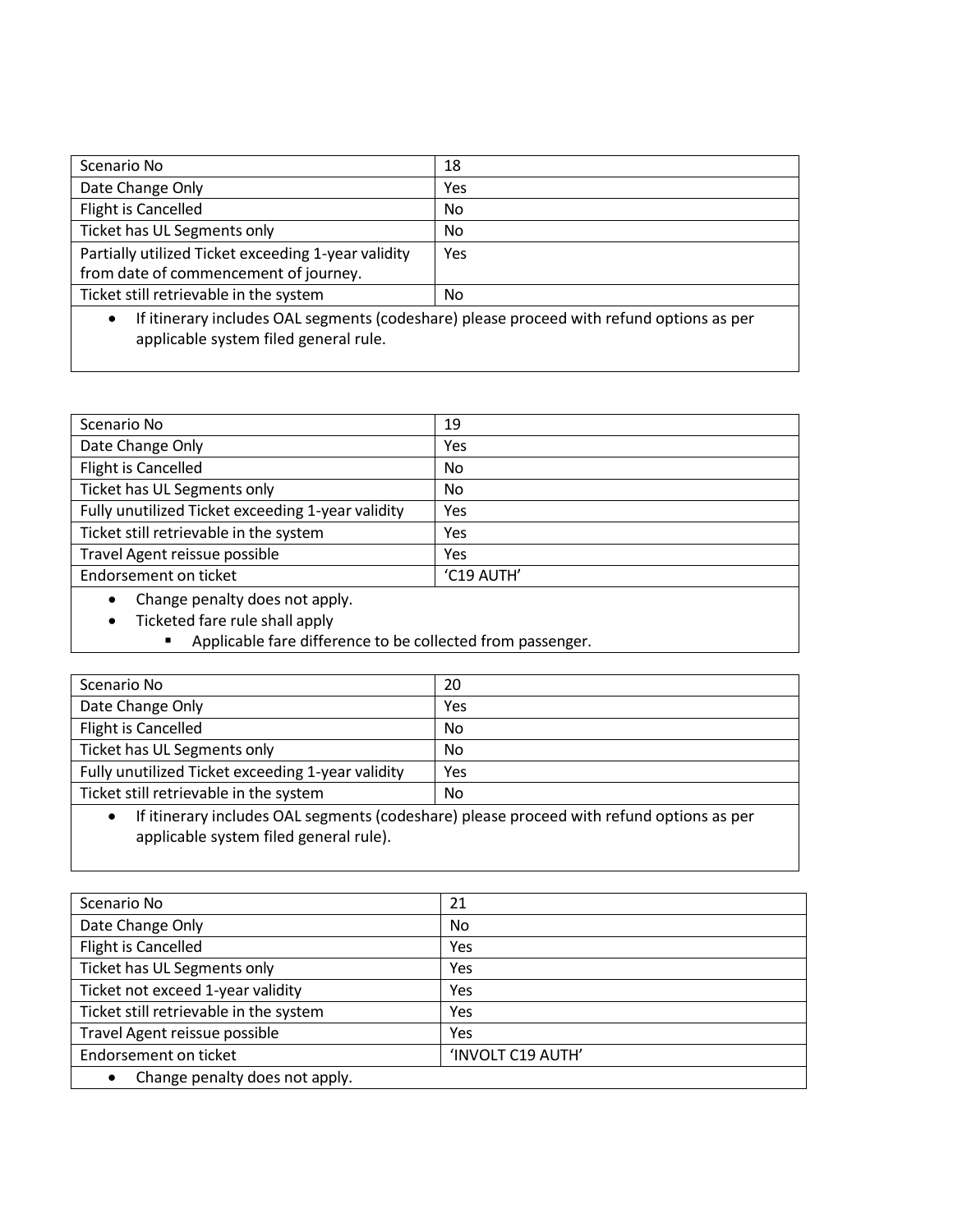| Scenario No                                                                              | 18  |  |
|------------------------------------------------------------------------------------------|-----|--|
| Date Change Only                                                                         | Yes |  |
| Flight is Cancelled                                                                      | No  |  |
| Ticket has UL Segments only                                                              | No  |  |
| Partially utilized Ticket exceeding 1-year validity                                      | Yes |  |
| from date of commencement of journey.                                                    |     |  |
| Ticket still retrievable in the system<br>No.                                            |     |  |
| If itinerary includes OAL segments (codeshare) please proceed with refund options as per |     |  |
| applicable system filed general rule.                                                    |     |  |

| Scenario No                                       | 19         |
|---------------------------------------------------|------------|
| Date Change Only                                  | Yes        |
| Flight is Cancelled                               | No.        |
| Ticket has UL Segments only                       | No.        |
| Fully unutilized Ticket exceeding 1-year validity | Yes        |
| Ticket still retrievable in the system            | Yes        |
| Travel Agent reissue possible                     | Yes        |
| Endorsement on ticket                             | 'C19 AUTH' |
| Change penalty does not apply.                    |            |
| Ticketed fare rule shall apply                    |            |

■ Applicable fare difference to be collected from passenger.

| Scenario No                                       | 20  |
|---------------------------------------------------|-----|
| Date Change Only                                  | Yes |
| Flight is Cancelled                               | No  |
| Ticket has UL Segments only                       | No  |
| Fully unutilized Ticket exceeding 1-year validity | Yes |
| Ticket still retrievable in the system            | No  |

• If itinerary includes OAL segments (codeshare) please proceed with refund options as per applicable system filed general rule).

| Scenario No                            | 21                |
|----------------------------------------|-------------------|
| Date Change Only                       | No                |
| Flight is Cancelled                    | Yes               |
| Ticket has UL Segments only            | Yes               |
| Ticket not exceed 1-year validity      | Yes               |
| Ticket still retrievable in the system | Yes               |
| Travel Agent reissue possible          | Yes               |
| Endorsement on ticket                  | 'INVOLT C19 AUTH' |
| Change penalty does not apply.         |                   |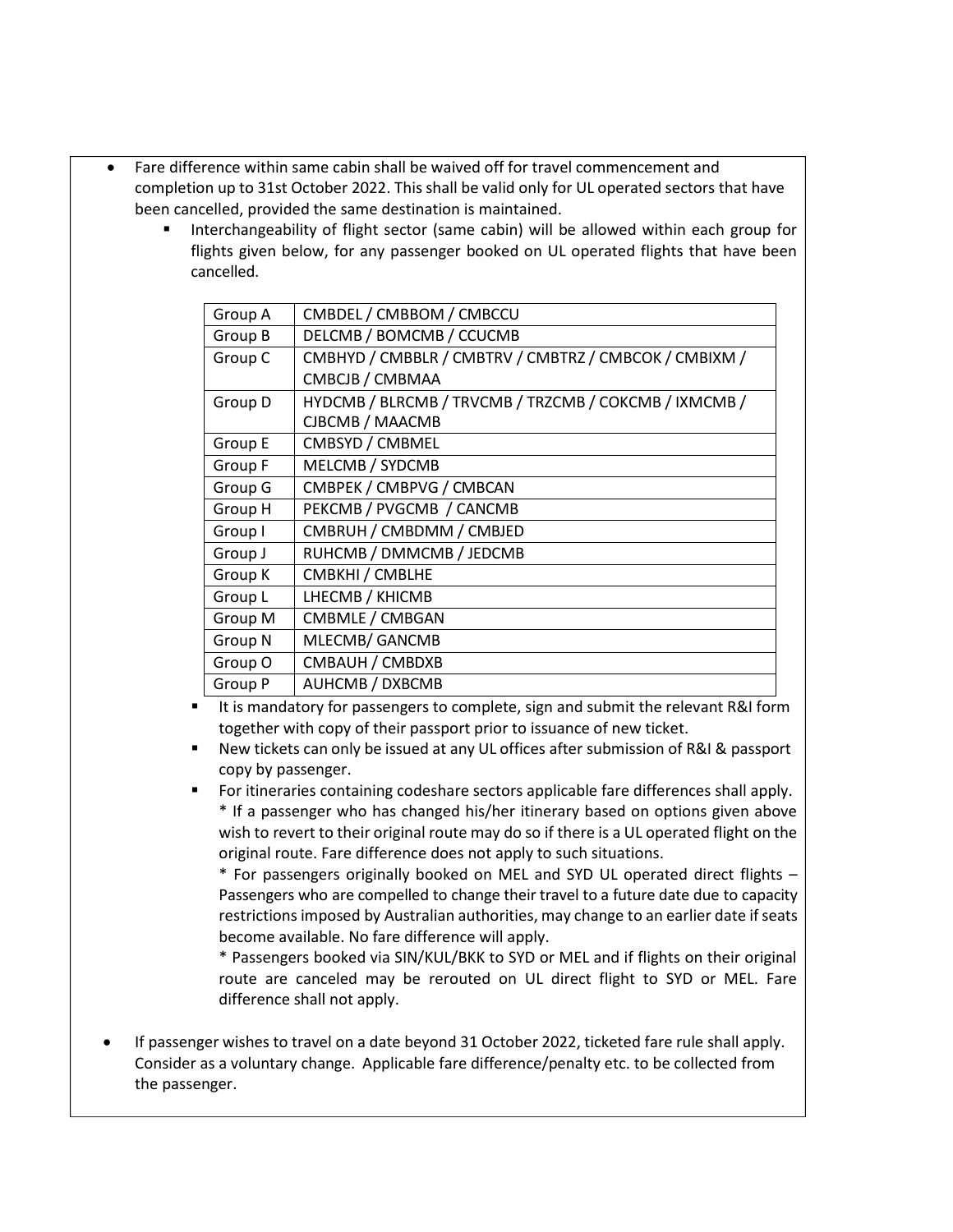- Fare difference within same cabin shall be waived off for travel commencement and completion up to 31st October 2022. This shall be valid only for UL operated sectors that have been cancelled, provided the same destination is maintained.
	- Interchangeability of flight sector (same cabin) will be allowed within each group for flights given below, for any passenger booked on UL operated flights that have been cancelled.

| Group A | CMBDEL / CMBBOM / CMBCCU                              |
|---------|-------------------------------------------------------|
| Group B | DELCMB / BOMCMB / CCUCMB                              |
| Group C | CMBHYD / CMBBLR / CMBTRV / CMBTRZ / CMBCOK / CMBIXM / |
|         | CMBCJB / CMBMAA                                       |
| Group D | HYDCMB / BLRCMB / TRVCMB / TRZCMB / COKCMB / IXMCMB / |
|         | CJBCMB / MAACMB                                       |
| Group E | CMBSYD / CMBMEL                                       |
| Group F | MELCMB / SYDCMB                                       |
| Group G | CMBPEK / CMBPVG / CMBCAN                              |
| Group H | PEKCMB / PVGCMB / CANCMB                              |
| Group I | CMBRUH / CMBDMM / CMBJED                              |
| Group J | RUHCMB / DMMCMB / JEDCMB                              |
| Group K | CMBKHI / CMBLHE                                       |
| Group L | LHECMB / KHICMB                                       |
| Group M | CMBMLE / CMBGAN                                       |
| Group N | MLECMB/ GANCMB                                        |
| Group O | CMBAUH / CMBDXB                                       |
| Group P | AUHCMB / DXBCMB                                       |

- It is mandatory for passengers to complete, sign and submit the relevant R&I form together with copy of their passport prior to issuance of new ticket.
- New tickets can only be issued at any UL offices after submission of R&I & passport copy by passenger.
- For itineraries containing codeshare sectors applicable fare differences shall apply. \* If a passenger who has changed his/her itinerary based on options given above wish to revert to their original route may do so if there is a UL operated flight on the original route. Fare difference does not apply to such situations.

\* For passengers originally booked on MEL and SYD UL operated direct flights – Passengers who are compelled to change their travel to a future date due to capacity restrictions imposed by Australian authorities, may change to an earlier date if seats become available. No fare difference will apply.

\* Passengers booked via SIN/KUL/BKK to SYD or MEL and if flights on their original route are canceled may be rerouted on UL direct flight to SYD or MEL. Fare difference shall not apply.

• If passenger wishes to travel on a date beyond 31 October 2022, ticketed fare rule shall apply. Consider as a voluntary change. Applicable fare difference/penalty etc. to be collected from the passenger.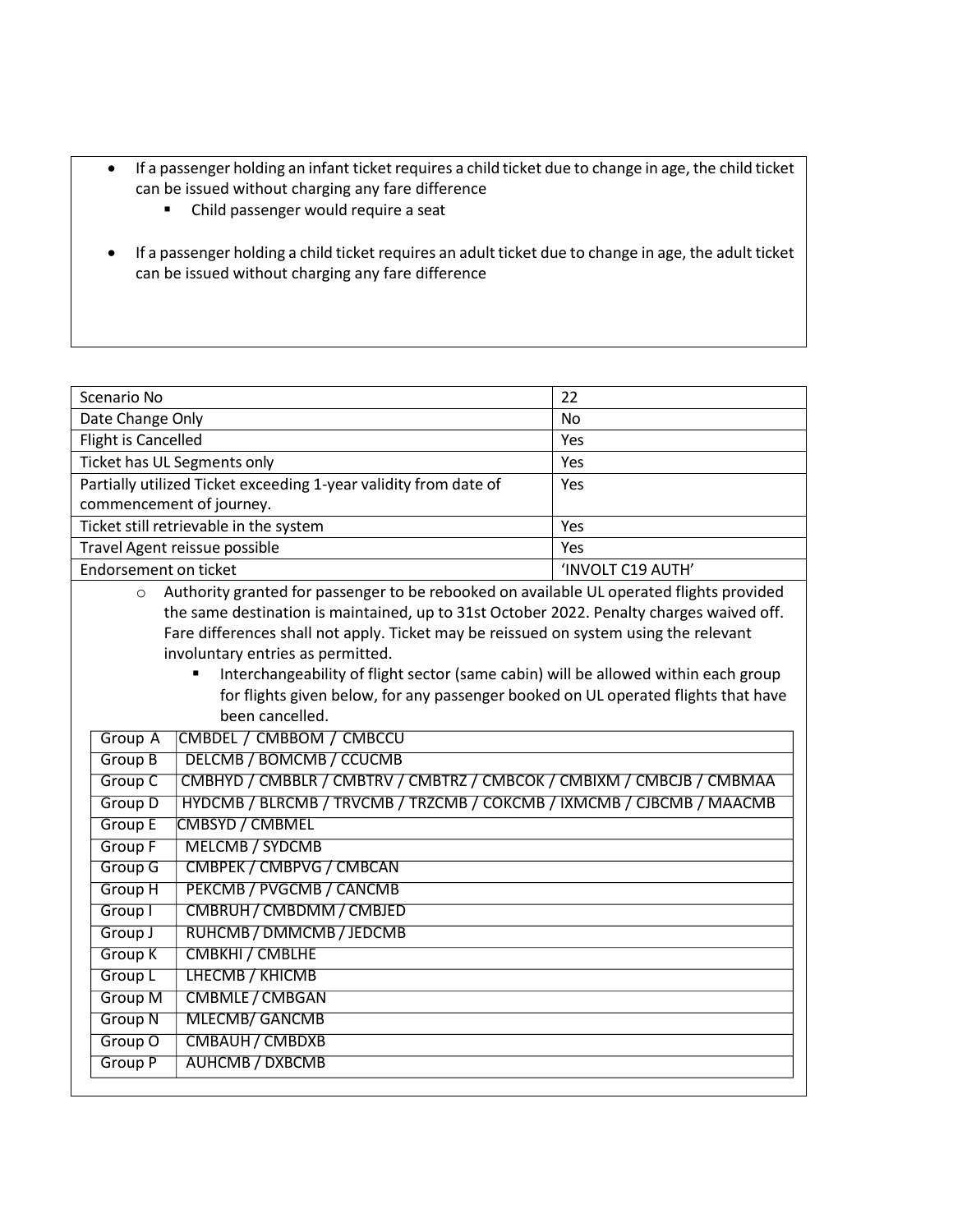- If a passenger holding an infant ticket requires a child ticket due to change in age, the child ticket can be issued without charging any fare difference
	- Child passenger would require a seat
- If a passenger holding a child ticket requires an adult ticket due to change in age, the adult ticket can be issued without charging any fare difference

| Scenario No                                                                                         | 22                |  |
|-----------------------------------------------------------------------------------------------------|-------------------|--|
| Date Change Only                                                                                    | No                |  |
| Flight is Cancelled                                                                                 | Yes               |  |
| Ticket has UL Segments only                                                                         | Yes               |  |
| Partially utilized Ticket exceeding 1-year validity from date of                                    | Yes               |  |
| commencement of journey.                                                                            |                   |  |
| Ticket still retrievable in the system                                                              | Yes               |  |
| Travel Agent reissue possible                                                                       | Yes               |  |
| Endorsement on ticket                                                                               | 'INVOLT C19 AUTH' |  |
| Authority granted for passenger to be rebooked on available UL operated flights provided<br>$\circ$ |                   |  |
| the same destination is maintained, up to 31st October 2022. Penalty charges waived off.            |                   |  |
| Fare differences shall not apply. Ticket may be reissued on system using the relevant               |                   |  |
| involuntary entries as permitted.                                                                   |                   |  |
| Interchangeability of flight sector (same cabin) will be allowed within each group                  |                   |  |
| for flights given below, for any passenger booked on UL operated flights that have                  |                   |  |
| been cancelled.                                                                                     |                   |  |
| CMBDEL / CMBBOM / CMBCCU<br>Group A                                                                 |                   |  |
| <b>DELCMB / BOMCMB / CCUCMB</b><br>Group B                                                          |                   |  |
| CMBHYD / CMBBLR / CMBTRV / CMBTRZ / CMBCOK / CMBIXM / CMBCJB / CMBMAA<br>Group C                    |                   |  |
| HYDCMB / BLRCMB / TRVCMB / TRZCMB / COKCMB / IXMCMB / CJBCMB / MAACMB<br>Group D                    |                   |  |
| Group E<br><b>CMBSYD / CMBMEL</b>                                                                   |                   |  |
| Group F<br><b>MELCMB / SYDCMB</b>                                                                   |                   |  |
| CMBPEK / CMBPVG / CMBCAN<br>Group G                                                                 |                   |  |
| Group H<br>PEKCMB / PVGCMB / CANCMB                                                                 |                   |  |
| CMBRUH / CMBDMM / CMBJED<br>Group I                                                                 |                   |  |
| RUHCMB / DMMCMB / JEDCMB<br>Group J                                                                 |                   |  |
| CMBKHI / CMBLHE<br><b>Group K</b>                                                                   |                   |  |
| Group L<br><b>LHECMB / KHICMB</b>                                                                   |                   |  |
| <b>CMBMLE / CMBGAN</b><br><b>Group M</b>                                                            |                   |  |
| <b>Group N</b><br><b>MLECMB/ GANCMB</b>                                                             |                   |  |
| Group O<br><b>CMBAUH / CMBDXB</b>                                                                   |                   |  |
| <b>Group P</b><br><b>AUHCMB / DXBCMB</b>                                                            |                   |  |
|                                                                                                     |                   |  |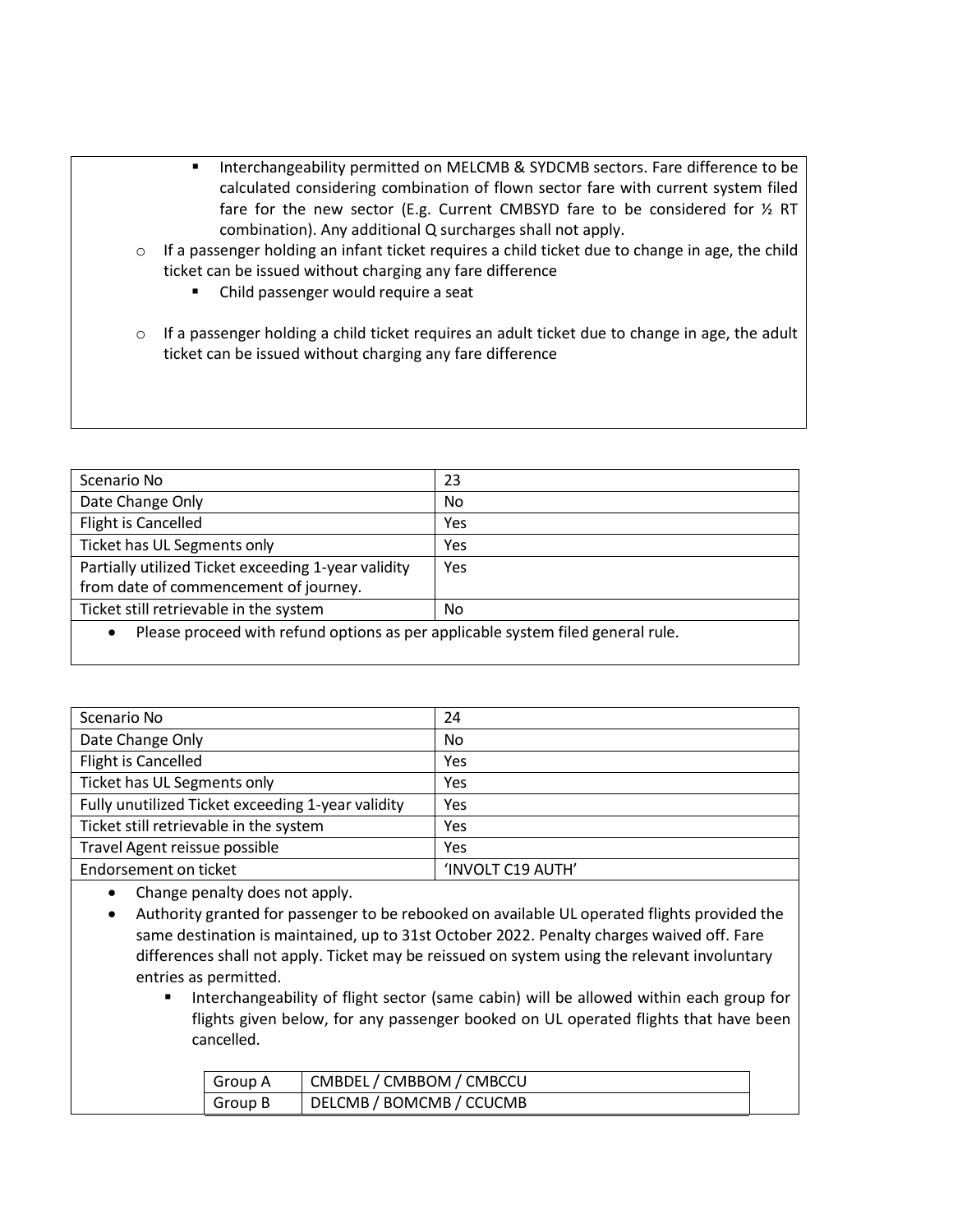- Interchangeability permitted on MELCMB & SYDCMB sectors. Fare difference to be calculated considering combination of flown sector fare with current system filed fare for the new sector (E.g. Current CMBSYD fare to be considered for ½ RT combination). Any additional Q surcharges shall not apply.
- $\circ$  If a passenger holding an infant ticket requires a child ticket due to change in age, the child ticket can be issued without charging any fare difference
	- Child passenger would require a seat
- o If a passenger holding a child ticket requires an adult ticket due to change in age, the adult ticket can be issued without charging any fare difference

| Scenario No                                                                                  | 23  |
|----------------------------------------------------------------------------------------------|-----|
| Date Change Only                                                                             | No. |
| Flight is Cancelled                                                                          | Yes |
| Ticket has UL Segments only                                                                  | Yes |
| Partially utilized Ticket exceeding 1-year validity                                          | Yes |
| from date of commencement of journey.                                                        |     |
| Ticket still retrievable in the system                                                       | No. |
| Please proceed with refund options as per applicable system filed general rule.<br>$\bullet$ |     |

| Scenario No                                       | 24                |
|---------------------------------------------------|-------------------|
| Date Change Only                                  | <b>No</b>         |
| Flight is Cancelled                               | Yes               |
| Ticket has UL Segments only                       | Yes               |
| Fully unutilized Ticket exceeding 1-year validity | Yes               |
| Ticket still retrievable in the system            | Yes               |
| Travel Agent reissue possible                     | Yes               |
| Endorsement on ticket                             | 'INVOLT C19 AUTH' |

• Change penalty does not apply.

- Authority granted for passenger to be rebooked on available UL operated flights provided the same destination is maintained, up to 31st October 2022. Penalty charges waived off. Fare differences shall not apply. Ticket may be reissued on system using the relevant involuntary entries as permitted.
	- Interchangeability of flight sector (same cabin) will be allowed within each group for flights given below, for any passenger booked on UL operated flights that have been cancelled.

| Group A | CMBDEL / CMBBOM / CMBCCU |
|---------|--------------------------|
| Group B | DELCMB / BOMCMB / CCUCMB |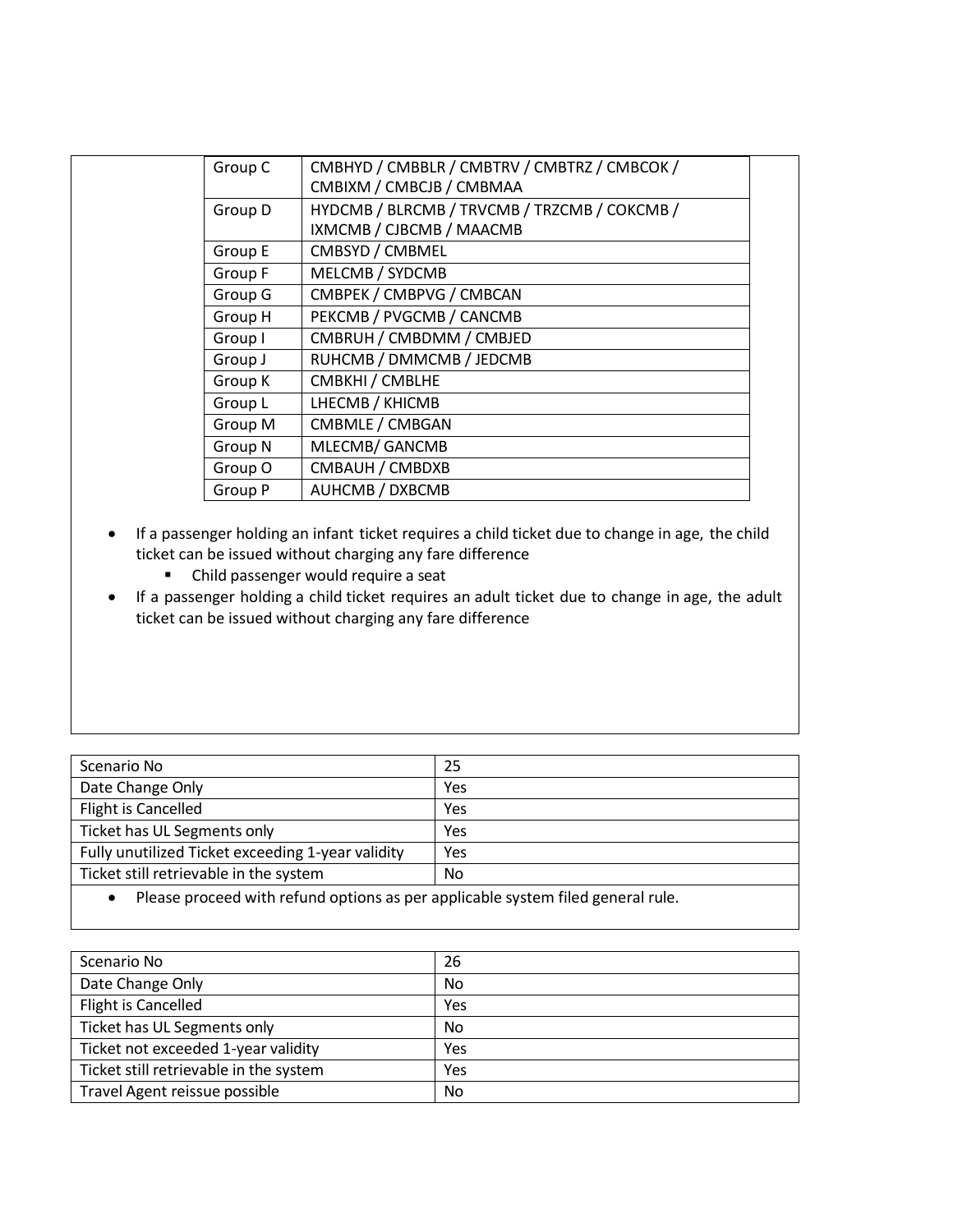| Group C | CMBHYD / CMBBLR / CMBTRV / CMBTRZ / CMBCOK / |  |
|---------|----------------------------------------------|--|
|         | CMBIXM / CMBCJB / CMBMAA                     |  |
| Group D | HYDCMB / BLRCMB / TRVCMB / TRZCMB / COKCMB / |  |
|         | IXMCMB / CJBCMB / MAACMB                     |  |
| Group E | CMBSYD / CMBMEL                              |  |
| Group F | MELCMB / SYDCMB                              |  |
| Group G | CMBPEK / CMBPVG / CMBCAN                     |  |
| Group H | PEKCMB / PVGCMB / CANCMB                     |  |
| Group I | CMBRUH / CMBDMM / CMBJED                     |  |
| Group J | RUHCMB / DMMCMB / JEDCMB                     |  |
| Group K | CMBKHI / CMBLHE                              |  |
| Group L | LHECMB / KHICMB                              |  |
| Group M | CMBMLE / CMBGAN                              |  |
| Group N | MLECMB/GANCMB                                |  |
| Group O | CMBAUH / CMBDXB                              |  |
| Group P | AUHCMB / DXBCMB                              |  |
|         |                                              |  |

- If a passenger holding an infant ticket requires a child ticket due to change in age, the child ticket can be issued without charging any fare difference
	- Child passenger would require a seat
- If a passenger holding a child ticket requires an adult ticket due to change in age, the adult ticket can be issued without charging any fare difference

| Scenario No                                       | 25  |
|---------------------------------------------------|-----|
| Date Change Only                                  | Yes |
| <b>Flight is Cancelled</b>                        | Yes |
| Ticket has UL Segments only                       | Yes |
| Fully unutilized Ticket exceeding 1-year validity | Yes |
| Ticket still retrievable in the system            | No  |
|                                                   |     |

• Please proceed with refund options as per applicable system filed general rule.

| Scenario No                            | 26  |
|----------------------------------------|-----|
| Date Change Only                       | No  |
| Flight is Cancelled                    | Yes |
| Ticket has UL Segments only            | No  |
| Ticket not exceeded 1-year validity    | Yes |
| Ticket still retrievable in the system | Yes |
| Travel Agent reissue possible          | No  |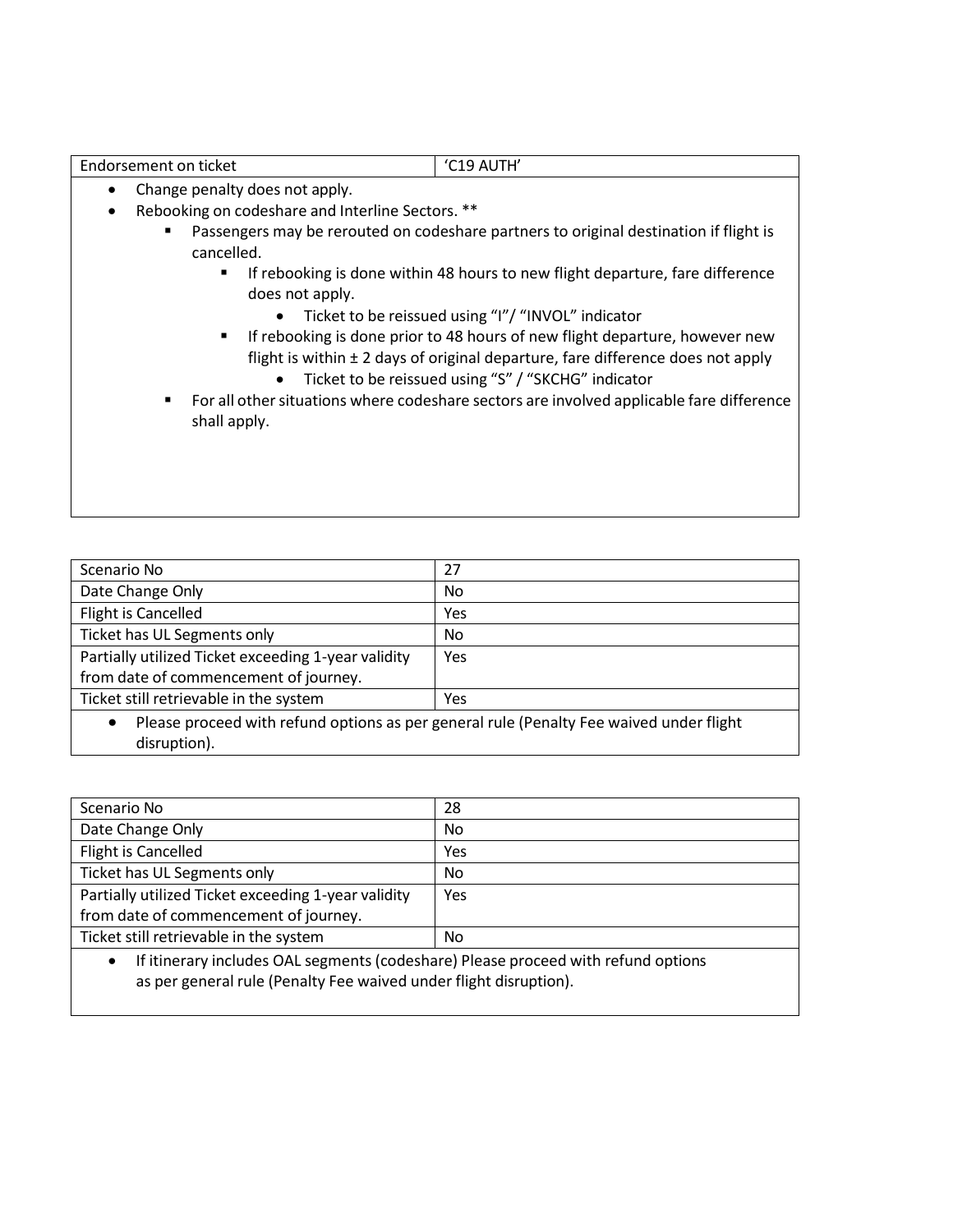|   | Change penalty does not apply.                                                                                                                                                                                                                           |
|---|----------------------------------------------------------------------------------------------------------------------------------------------------------------------------------------------------------------------------------------------------------|
|   | Rebooking on codeshare and Interline Sectors. **                                                                                                                                                                                                         |
|   | Passengers may be rerouted on codeshare partners to original destination if flight is<br>cancelled.                                                                                                                                                      |
|   | If rebooking is done within 48 hours to new flight departure, fare difference<br>п.<br>does not apply.                                                                                                                                                   |
|   | Ticket to be reissued using "I"/ "INVOL" indicator<br>$\bullet$                                                                                                                                                                                          |
|   | If rebooking is done prior to 48 hours of new flight departure, however new<br>$\blacksquare$<br>flight is within $\pm$ 2 days of original departure, fare difference does not apply<br>Ticket to be reissued using "S" / "SKCHG" indicator<br>$\bullet$ |
| ٠ | For all other situations where codeshare sectors are involved applicable fare difference<br>shall apply.                                                                                                                                                 |
|   |                                                                                                                                                                                                                                                          |

Endorsement on ticket (C19 AUTH'

| Scenario No                                                                                          | 27  |
|------------------------------------------------------------------------------------------------------|-----|
| Date Change Only                                                                                     | No  |
| Flight is Cancelled                                                                                  | Yes |
| Ticket has UL Segments only                                                                          | No. |
| Partially utilized Ticket exceeding 1-year validity<br>from date of commencement of journey.         | Yes |
| Ticket still retrievable in the system                                                               | Yes |
| Please proceed with refund options as per general rule (Penalty Fee waived under flight<br>$\bullet$ |     |

| disruption). |  |
|--------------|--|
|              |  |

| Scenario No                                                                                                                           | 28  |  |
|---------------------------------------------------------------------------------------------------------------------------------------|-----|--|
| Date Change Only                                                                                                                      | No  |  |
| Flight is Cancelled                                                                                                                   | Yes |  |
| Ticket has UL Segments only                                                                                                           | No  |  |
| Partially utilized Ticket exceeding 1-year validity                                                                                   | Yes |  |
| from date of commencement of journey.                                                                                                 |     |  |
| Ticket still retrievable in the system                                                                                                | No  |  |
| $\mathbf{A}$ . The contract of the contract of the second contract $\mathbf{A}$ , and the contract of the contract of the contract of |     |  |

• If itinerary includes OAL segments (codeshare) Please proceed with refund options as per general rule (Penalty Fee waived under flight disruption).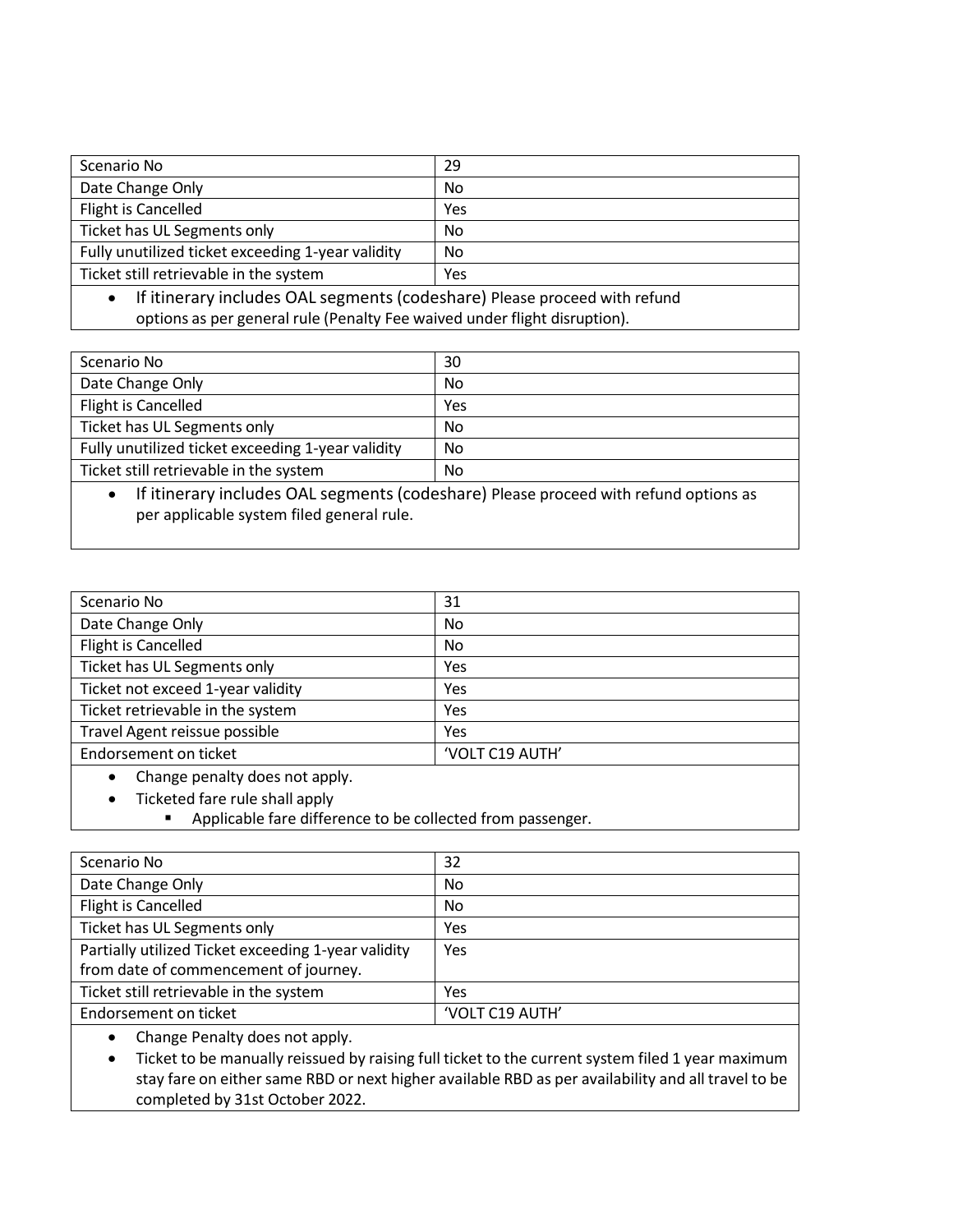| Scenario No                                                                         | 29  |
|-------------------------------------------------------------------------------------|-----|
| Date Change Only                                                                    | No  |
| Flight is Cancelled                                                                 | Yes |
| Ticket has UL Segments only                                                         | No. |
| Fully unutilized ticket exceeding 1-year validity                                   | No  |
| Ticket still retrievable in the system                                              | Yes |
| $\bullet$ If itingrapy includes OAL segments (sedesbare) Blease present with refund |     |

• If itinerary includes OAL segments (codeshare) Please proceed with refund options as per general rule (Penalty Fee waived under flight disruption).

| Scenario No                                                   | 30  |  |
|---------------------------------------------------------------|-----|--|
| Date Change Only                                              | No  |  |
| Flight is Cancelled                                           | Yes |  |
| Ticket has UL Segments only                                   | No  |  |
| Fully unutilized ticket exceeding 1-year validity             | No  |  |
| Ticket still retrievable in the system                        | No  |  |
| $\cdots$<br>$\sim$ $\sim$ $\sim$<br>$\mathbf{v} = \mathbf{v}$ |     |  |

If itinerary includes OAL segments (codeshare) Please proceed with refund options as per applicable system filed general rule.

| Scenario No                                | 31              |
|--------------------------------------------|-----------------|
| Date Change Only                           | No              |
| Flight is Cancelled                        | No              |
| Ticket has UL Segments only                | Yes             |
| Ticket not exceed 1-year validity          | Yes             |
| Ticket retrievable in the system           | Yes             |
| Travel Agent reissue possible              | Yes             |
| Endorsement on ticket                      | 'VOLT C19 AUTH' |
| Change neasity does not apply<br>$\bullet$ |                 |

• Change penalty does not apply.

• Ticketed fare rule shall apply

■ Applicable fare difference to be collected from passenger.

| Scenario No                                         | 32              |
|-----------------------------------------------------|-----------------|
| Date Change Only                                    | No              |
| Flight is Cancelled                                 | No              |
| Ticket has UL Segments only                         | Yes             |
| Partially utilized Ticket exceeding 1-year validity | Yes             |
| from date of commencement of journey.               |                 |
| Ticket still retrievable in the system              | Yes             |
| Endorsement on ticket                               | 'VOLT C19 AUTH' |
|                                                     |                 |

• Change Penalty does not apply.

• Ticket to be manually reissued by raising full ticket to the current system filed 1 year maximum stay fare on either same RBD or next higher available RBD as per availability and all travel to be completed by 31st October 2022.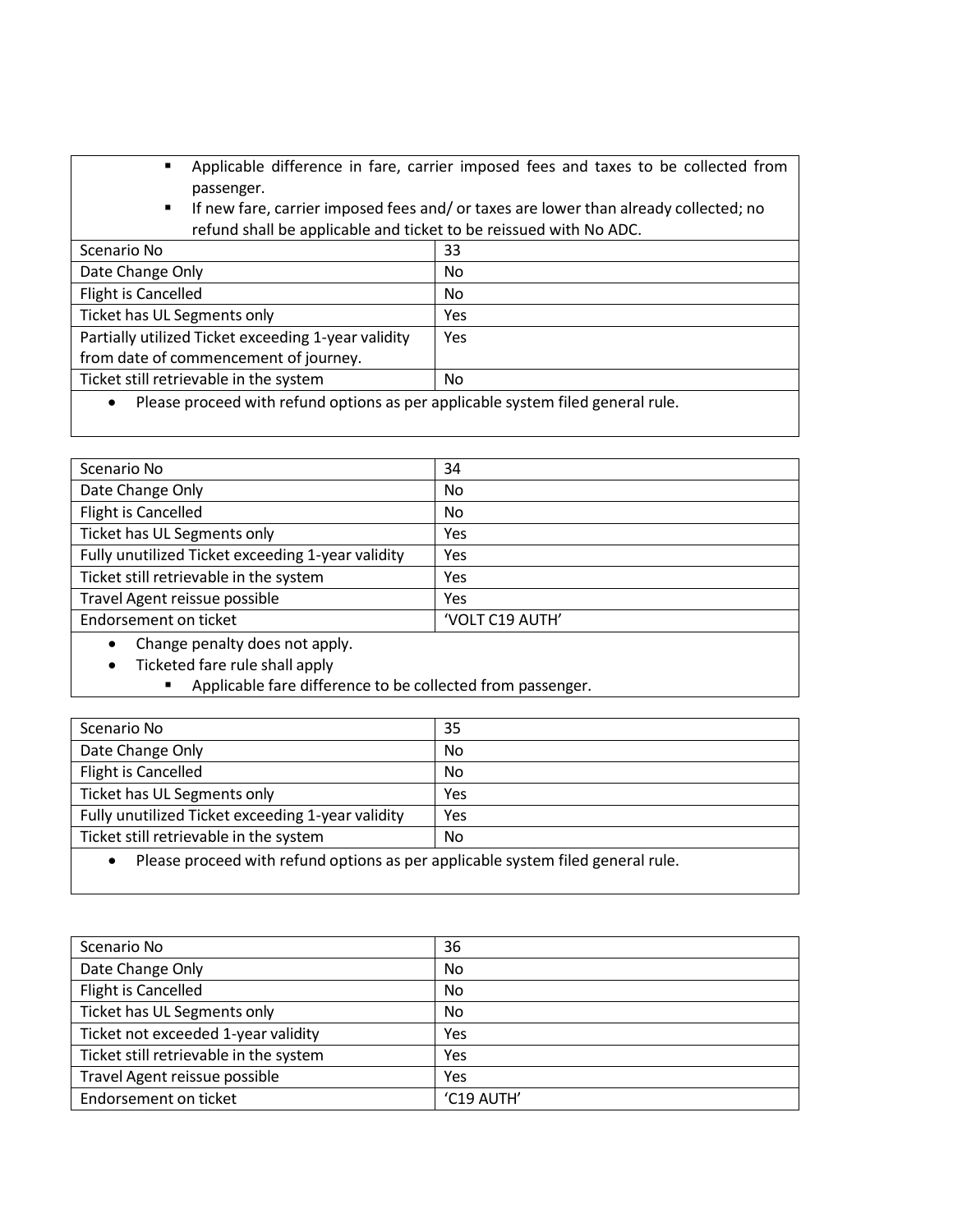- Applicable difference in fare, carrier imposed fees and taxes to be collected from passenger.
- If new fare, carrier imposed fees and/ or taxes are lower than already collected; no refund shall be applicable and ticket to be reissued with No ADC.

| Scenario No                                                                                  | 33  |
|----------------------------------------------------------------------------------------------|-----|
| Date Change Only                                                                             | No  |
| Flight is Cancelled                                                                          | No  |
| Ticket has UL Segments only                                                                  | Yes |
| Partially utilized Ticket exceeding 1-year validity<br>from date of commencement of journey. | Yes |
| Ticket still retrievable in the system                                                       | No  |
|                                                                                              |     |

• Please proceed with refund options as per applicable system filed general rule.

| Scenario No                                       | 34              |
|---------------------------------------------------|-----------------|
| Date Change Only                                  | <b>No</b>       |
| Flight is Cancelled                               | <b>No</b>       |
| Ticket has UL Segments only                       | Yes             |
| Fully unutilized Ticket exceeding 1-year validity | Yes             |
| Ticket still retrievable in the system            | Yes             |
| Travel Agent reissue possible                     | Yes             |
| Endorsement on ticket                             | 'VOLT C19 AUTH' |
| Change penalty does not apply.                    |                 |

- Ticketed fare rule shall apply
	- Applicable fare difference to be collected from passenger.

| Scenario No                                                                     | 35             |
|---------------------------------------------------------------------------------|----------------|
| Date Change Only                                                                | N <sub>o</sub> |
| Flight is Cancelled                                                             | <b>No</b>      |
| Ticket has UL Segments only                                                     | Yes            |
| Fully unutilized Ticket exceeding 1-year validity                               | Yes            |
| Ticket still retrievable in the system<br>No                                    |                |
| Please proceed with refund options as per applicable system filed general rule. |                |

| Scenario No                            | 36         |
|----------------------------------------|------------|
| Date Change Only                       | No         |
| Flight is Cancelled                    | <b>No</b>  |
| Ticket has UL Segments only            | No         |
| Ticket not exceeded 1-year validity    | Yes        |
| Ticket still retrievable in the system | Yes        |
| Travel Agent reissue possible          | Yes        |
| Endorsement on ticket                  | 'C19 AUTH' |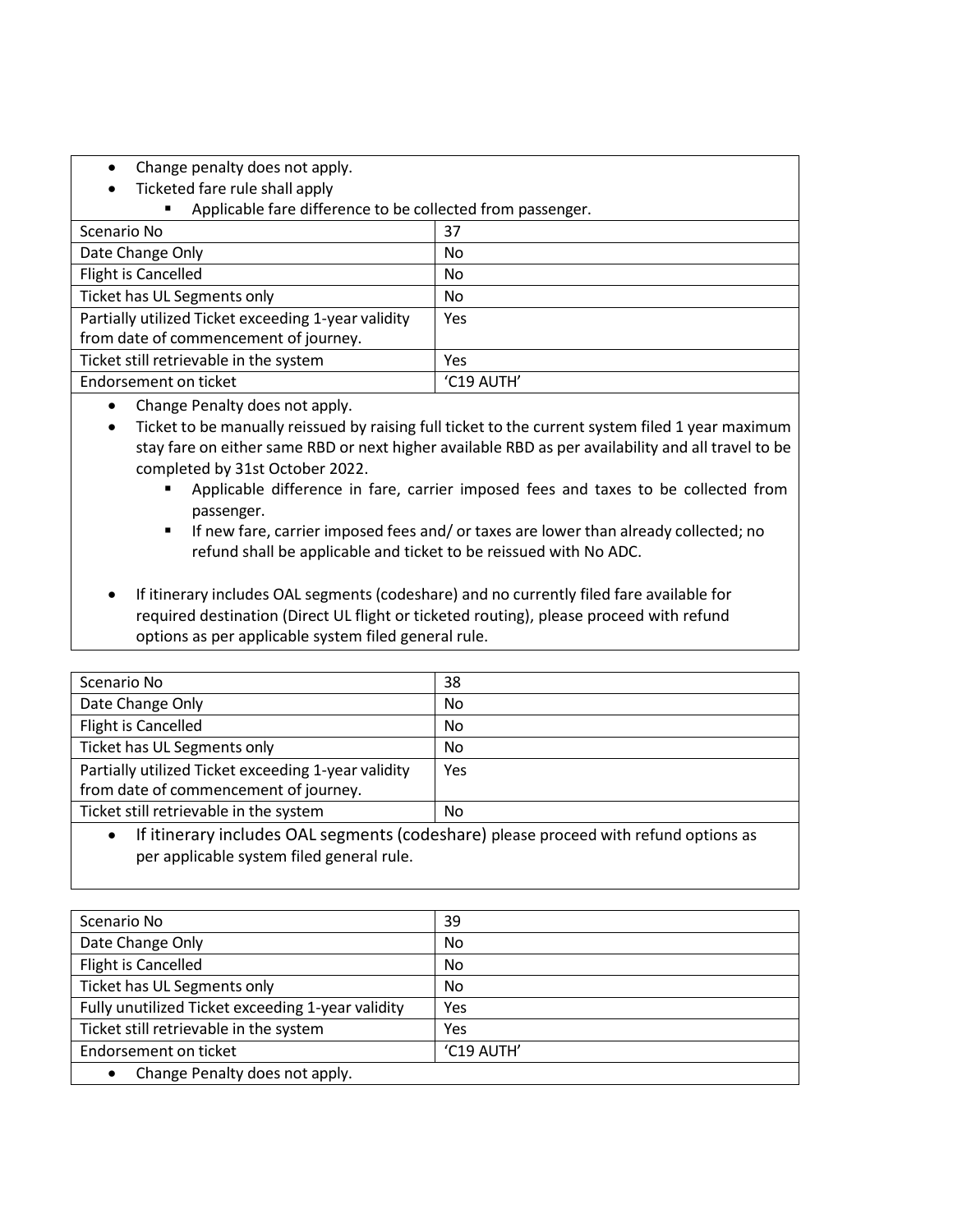- Change penalty does not apply.
- Ticketed fare rule shall apply
	- Applicable fare difference to be collected from passenger.

| Scenario No                                         | 37         |
|-----------------------------------------------------|------------|
| Date Change Only                                    | No         |
| Flight is Cancelled                                 | No         |
| Ticket has UL Segments only                         | No         |
| Partially utilized Ticket exceeding 1-year validity | <b>Yes</b> |
| from date of commencement of journey.               |            |
| Ticket still retrievable in the system              | Yes        |
| Endorsement on ticket                               | 'C19 AUTH' |

- Change Penalty does not apply.
- Ticket to be manually reissued by raising full ticket to the current system filed 1 year maximum stay fare on either same RBD or next higher available RBD as per availability and all travel to be completed by 31st October 2022.
	- Applicable difference in fare, carrier imposed fees and taxes to be collected from passenger.
	- **E** If new fare, carrier imposed fees and/ or taxes are lower than already collected; no refund shall be applicable and ticket to be reissued with No ADC.
- If itinerary includes OAL segments (codeshare) and no currently filed fare available for required destination (Direct UL flight or ticketed routing), please proceed with refund options as per applicable system filed general rule.

| Scenario No                                                                                  | 38  |
|----------------------------------------------------------------------------------------------|-----|
| Date Change Only                                                                             | No. |
| Flight is Cancelled                                                                          | No. |
| Ticket has UL Segments only                                                                  | No. |
| Partially utilized Ticket exceeding 1-year validity<br>from date of commencement of journey. | Yes |
| Ticket still retrievable in the system                                                       | No. |

• If itinerary includes OAL segments (codeshare) please proceed with refund options as per applicable system filed general rule.

| Scenario No                                       | 39         |
|---------------------------------------------------|------------|
|                                                   |            |
| Date Change Only                                  | No         |
| Flight is Cancelled                               | No         |
| Ticket has UL Segments only                       | No         |
| Fully unutilized Ticket exceeding 1-year validity | Yes        |
| Ticket still retrievable in the system            | Yes        |
| Endorsement on ticket                             | 'C19 AUTH' |
| Change Penalty does not apply.                    |            |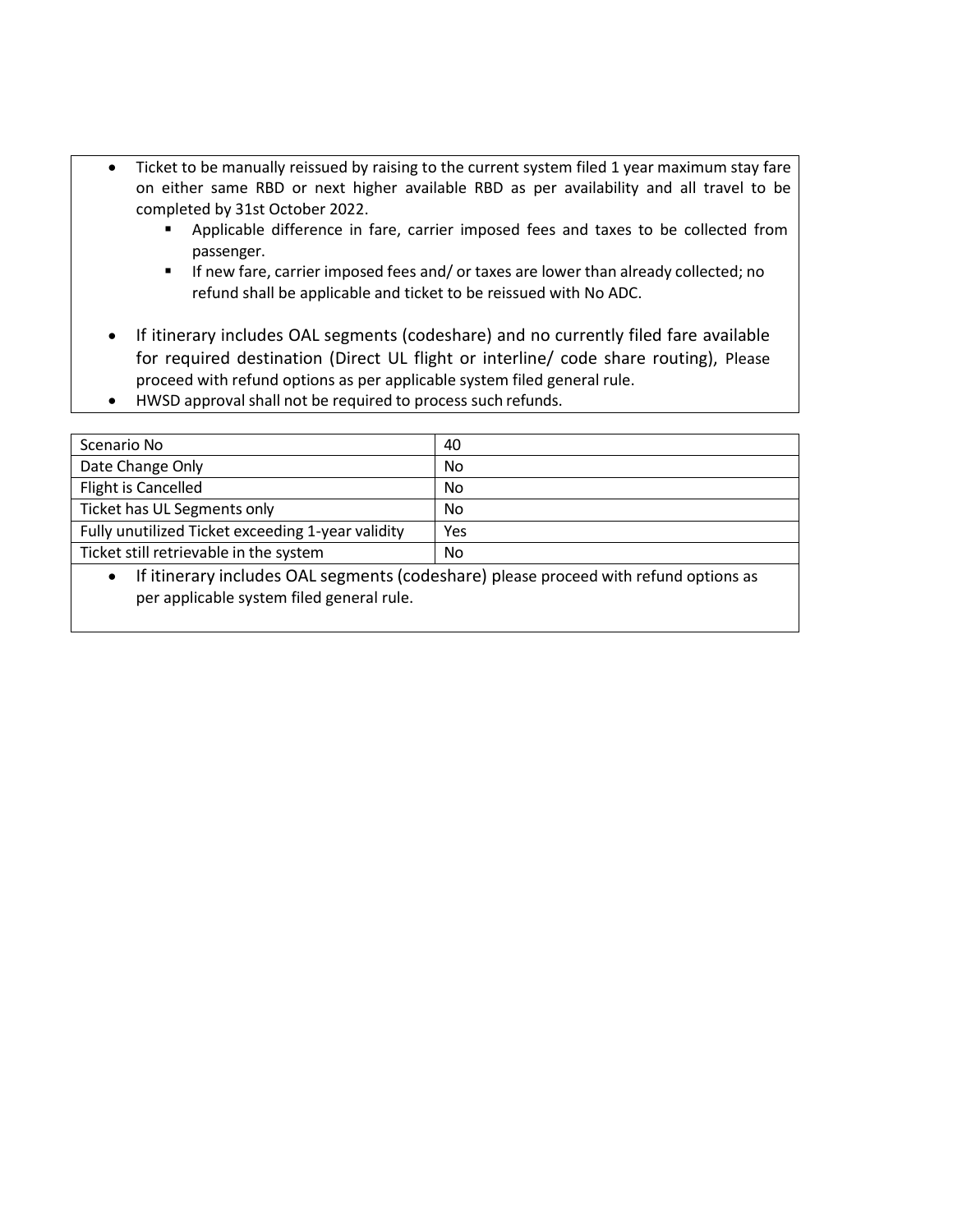- Ticket to be manually reissued by raising to the current system filed 1 year maximum stay fare on either same RBD or next higher available RBD as per availability and all travel to be completed by 31st October 2022.
	- Applicable difference in fare, carrier imposed fees and taxes to be collected from passenger.
	- **■** If new fare, carrier imposed fees and/ or taxes are lower than already collected; no refund shall be applicable and ticket to be reissued with No ADC.
- If itinerary includes OAL segments (codeshare) and no currently filed fare available for required destination (Direct UL flight or interline/ code share routing), Please proceed with refund options as per applicable system filed general rule.
- HWSD approval shall not be required to process such refunds.

| Scenario No                                       | 40  |
|---------------------------------------------------|-----|
| Date Change Only                                  | No  |
| Flight is Cancelled                               | No  |
| Ticket has UL Segments only                       | No. |
| Fully unutilized Ticket exceeding 1-year validity | Yes |
| Ticket still retrievable in the system            | No  |
| $\sim$ $\sim$ $\sim$ $\sim$                       |     |

• If itinerary includes OAL segments (codeshare) please proceed with refund options as per applicable system filed general rule.